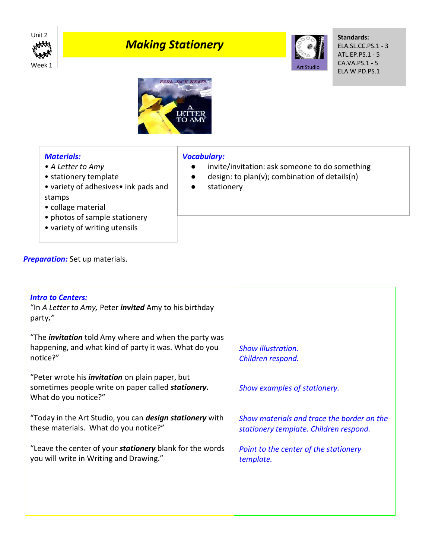

# *Making Stationery*



**Standards:** ELA.SL.CC.PS.1 - 3 ATL.EP.PS.1 - 5 CA.VA.PS.1 - 5 ELA.W.PD.PS.1



## *Materials:*

- *A Letter to Amy*
- stationery template
- variety of adhesives• ink pads and stamps
- collage material
- photos of sample stationery
- variety of writing utensils

### *Vocabulary:*

- invite/invitation: ask someone to do something
- design: to plan(v); combination of details(n)
- stationery

| Preparation: Set up materials. |
|--------------------------------|
|--------------------------------|

| <b>Intro to Centers:</b><br>"In A Letter to Amy, Peter <i>invited</i> Amy to his birthday<br>party."                                 |                                                                                      |
|--------------------------------------------------------------------------------------------------------------------------------------|--------------------------------------------------------------------------------------|
| "The <i>invitation</i> told Amy where and when the party was<br>happening, and what kind of party it was. What do you<br>notice?"    | <b>Show illustration.</b><br>Children respond.                                       |
| "Peter wrote his <i>invitation</i> on plain paper, but<br>sometimes people write on paper called stationery.<br>What do you notice?" | Show examples of stationery.                                                         |
| "Today in the Art Studio, you can <b>design stationery</b> with<br>these materials. What do you notice?"                             | Show materials and trace the border on the<br>stationery template. Children respond. |
| "Leave the center of your <b>stationery</b> blank for the words<br>you will write in Writing and Drawing."                           | Point to the center of the stationery<br>template.                                   |